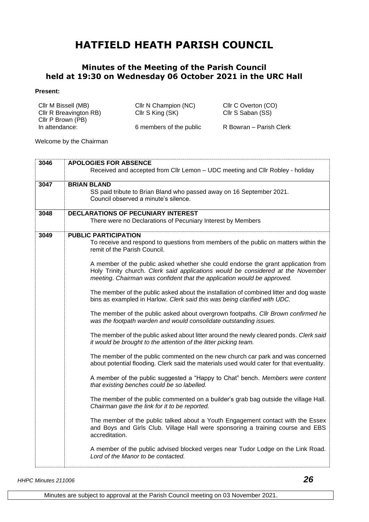## **HATFIELD HEATH PARISH COUNCIL**

## **Minutes of the Meeting of the Parish Council held at 19:30 on Wednesday 06 October 2021 in the URC Hall**

## **Present:**

| Cllr M Bissell (MB)    | Cllr N Champion (NC)    | Cllr C Overton (CO)     |
|------------------------|-------------------------|-------------------------|
| Cllr R Breavington RB) | Cllr S King (SK)        | Cllr S Saban (SS)       |
| Cllr P Brown (PB)      |                         |                         |
| In attendance:         | 6 members of the public | R Bowran – Parish Clerk |

Welcome by the Chairman

| 3046 | <b>APOLOGIES FOR ABSENCE</b>                                                                                                                                                                                                                     |  |
|------|--------------------------------------------------------------------------------------------------------------------------------------------------------------------------------------------------------------------------------------------------|--|
|      | Received and accepted from Cllr Lemon - UDC meeting and Cllr Robley - holiday                                                                                                                                                                    |  |
| 3047 | <b>BRIAN BLAND</b>                                                                                                                                                                                                                               |  |
|      | SS paid tribute to Brian Bland who passed away on 16 September 2021.<br>Council observed a minute's silence.                                                                                                                                     |  |
| 3048 | <b>DECLARATIONS OF PECUNIARY INTEREST</b>                                                                                                                                                                                                        |  |
|      | There were no Declarations of Pecuniary Interest by Members                                                                                                                                                                                      |  |
| 3049 | <b>PUBLIC PARTICIPATION</b>                                                                                                                                                                                                                      |  |
|      | To receive and respond to questions from members of the public on matters within the<br>remit of the Parish Council.                                                                                                                             |  |
|      | A member of the public asked whether she could endorse the grant application from<br>Holy Trinity church. Clerk said applications would be considered at the November<br>meeting. Chairman was confident that the application would be approved. |  |
|      | The member of the public asked about the installation of combined litter and dog waste<br>bins as exampled in Harlow. Clerk said this was being clarified with UDC.                                                                              |  |
|      | The member of the public asked about overgrown footpaths. Cllr Brown confirmed he<br>was the footpath warden and would consolidate outstanding issues.                                                                                           |  |
|      | The member of the public asked about litter around the newly cleared ponds. Clerk said<br>it would be brought to the attention of the litter picking team.                                                                                       |  |
|      | The member of the public commented on the new church car park and was concerned<br>about potential flooding. Clerk said the materials used would cater for that eventuality.                                                                     |  |
|      | A member of the public suggested a "Happy to Chat" bench. Members were content<br>that existing benches could be so labelled.                                                                                                                    |  |
|      | The member of the public commented on a builder's grab bag outside the village Hall.<br>Chairman gave the link for it to be reported.                                                                                                            |  |
|      | The member of the public talked about a Youth Engagement contact with the Essex<br>and Boys and Girls Club. Village Hall were sponsoring a training course and EBS<br>accreditation.                                                             |  |
|      | A member of the public advised blocked verges near Tudor Lodge on the Link Road.<br>Lord of the Manor to be contacted.                                                                                                                           |  |

*HHPC Minutes 211006 26*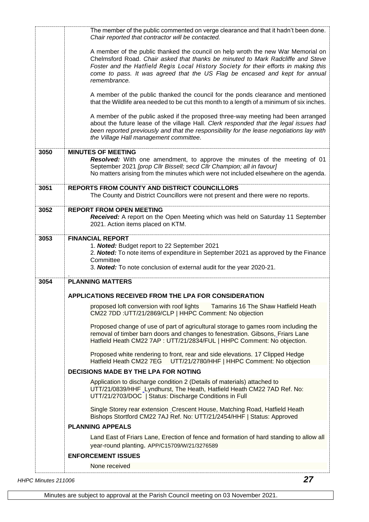|      | The member of the public commented on verge clearance and that it hadn't been done.<br>Chair reported that contractor will be contacted.                                                                                                                                                                                                                   |  |
|------|------------------------------------------------------------------------------------------------------------------------------------------------------------------------------------------------------------------------------------------------------------------------------------------------------------------------------------------------------------|--|
|      | A member of the public thanked the council on help wroth the new War Memorial on<br>Chelmsford Road. Chair asked that thanks be minuted to Mark Radcliffe and Steve<br>Foster and the Hatfield Regis Local History Society for their efforts in making this<br>come to pass. It was agreed that the US Flag be encased and kept for annual<br>remembrance. |  |
|      | A member of the public thanked the council for the ponds clearance and mentioned<br>that the Wildlife area needed to be cut this month to a length of a minimum of six inches.                                                                                                                                                                             |  |
|      | A member of the public asked if the proposed three-way meeting had been arranged<br>about the future lease of the village Hall. Clerk responded that the legal issues had<br>been reported previously and that the responsibility for the lease negotiations lay with<br>the Village Hall management committee.                                            |  |
| 3050 | <b>MINUTES OF MEETING</b>                                                                                                                                                                                                                                                                                                                                  |  |
|      | Resolved: With one amendment, to approve the minutes of the meeting of 01<br>September 2021 [prop Cllr Bissell; secd Cllr Champion; all in favour]<br>No matters arising from the minutes which were not included elsewhere on the agenda.                                                                                                                 |  |
| 3051 | REPORTS FROM COUNTY AND DISTRICT COUNCILLORS<br>The County and District Councillors were not present and there were no reports.                                                                                                                                                                                                                            |  |
| 3052 | <b>REPORT FROM OPEN MEETING</b>                                                                                                                                                                                                                                                                                                                            |  |
|      | Received: A report on the Open Meeting which was held on Saturday 11 September<br>2021. Action items placed on KTM.                                                                                                                                                                                                                                        |  |
| 3053 | <b>FINANCIAL REPORT</b>                                                                                                                                                                                                                                                                                                                                    |  |
|      | 1. Noted: Budget report to 22 September 2021<br>2. Noted: To note items of expenditure in September 2021 as approved by the Finance<br>Committee<br>3. Noted: To note conclusion of external audit for the year 2020-21.                                                                                                                                   |  |
| 3054 | <b>PLANNING MATTERS</b>                                                                                                                                                                                                                                                                                                                                    |  |
|      | <b>APPLICATIONS RECEIVED FROM THE LPA FOR CONSIDERATION</b>                                                                                                                                                                                                                                                                                                |  |
|      | proposed loft conversion with roof lights Tamarins 16 The Shaw Hatfield Heath<br>CM22 7DD :UTT/21/2869/CLP   HHPC Comment: No objection                                                                                                                                                                                                                    |  |
|      | Proposed change of use of part of agricultural storage to games room including the<br>removal of timber barn doors and changes to fenestration. Gibsons, Friars Lane<br>Hatfield Heath CM22 7AP : UTT/21/2834/FUL   HHPC Comment: No objection.                                                                                                            |  |
|      | Proposed white rendering to front, rear and side elevations. 17 Clipped Hedge<br>UTT/21/2780/HHF   HHPC Comment: No objection<br>Hatfield Heath CM22 7EG                                                                                                                                                                                                   |  |
|      | <b>DECISIONS MADE BY THE LPA FOR NOTING</b>                                                                                                                                                                                                                                                                                                                |  |
|      | Application to discharge condition 2 (Details of materials) attached to<br>UTT/21/0839/HHF Lyndhurst, The Heath, Hatfield Heath CM22 7AD Ref. No:<br>UTT/21/2703/DOC   Status: Discharge Conditions in Full                                                                                                                                                |  |
|      | Single Storey rear extension Crescent House, Matching Road, Hatfield Heath<br>Bishops Stortford CM22 7AJ Ref. No: UTT/21/2454/HHF   Status: Approved                                                                                                                                                                                                       |  |
|      | <b>PLANNING APPEALS</b>                                                                                                                                                                                                                                                                                                                                    |  |
|      |                                                                                                                                                                                                                                                                                                                                                            |  |
|      | Land East of Friars Lane, Erection of fence and formation of hard standing to allow all<br>year-round planting. APP/C15709/W/21/3276589                                                                                                                                                                                                                    |  |
|      | <b>ENFORCEMENT ISSUES</b>                                                                                                                                                                                                                                                                                                                                  |  |

*HHPC Minutes 211006 27*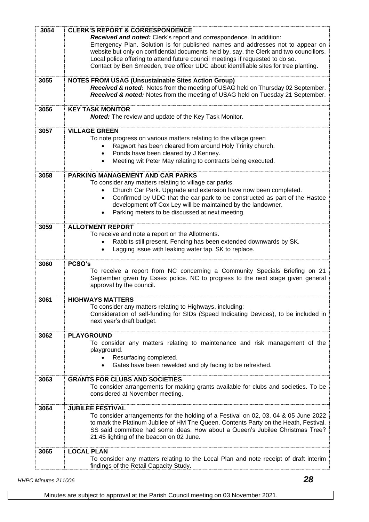| 3054 | <b>CLERK'S REPORT &amp; CORRESPONDENCE</b><br>Received and noted: Clerk's report and correspondence. In addition:<br>Emergency Plan. Solution is for published names and addresses not to appear on<br>website but only on confidential documents held by, say, the Clerk and two councillors.<br>Local police offering to attend future council meetings if requested to do so.<br>Contact by Ben Smeeden, tree officer UDC about identifiable sites for tree planting. |
|------|--------------------------------------------------------------------------------------------------------------------------------------------------------------------------------------------------------------------------------------------------------------------------------------------------------------------------------------------------------------------------------------------------------------------------------------------------------------------------|
| 3055 | <b>NOTES FROM USAG (Unsustainable Sites Action Group)</b><br>Received & noted: Notes from the meeting of USAG held on Thursday 02 September.<br>Received & noted: Notes from the meeting of USAG held on Tuesday 21 September.                                                                                                                                                                                                                                           |
| 3056 | <b>KEY TASK MONITOR</b><br><b>Noted:</b> The review and update of the Key Task Monitor.                                                                                                                                                                                                                                                                                                                                                                                  |
| 3057 | <b>VILLAGE GREEN</b><br>To note progress on various matters relating to the village green<br>Ragwort has been cleared from around Holy Trinity church.<br>٠<br>Ponds have been cleared by J Kenney.<br>$\bullet$<br>Meeting wit Peter May relating to contracts being executed.<br>$\bullet$                                                                                                                                                                             |
| 3058 | <b>PARKING MANAGEMENT AND CAR PARKS</b><br>To consider any matters relating to village car parks.<br>Church Car Park. Upgrade and extension have now been completed.<br>Confirmed by UDC that the car park to be constructed as part of the Hastoe<br>$\bullet$<br>development off Cox Ley will be maintained by the landowner.<br>Parking meters to be discussed at next meeting.<br>$\bullet$                                                                          |
| 3059 | <b>ALLOTMENT REPORT</b><br>To receive and note a report on the Allotments.<br>Rabbits still present. Fencing has been extended downwards by SK.<br>Lagging issue with leaking water tap. SK to replace.                                                                                                                                                                                                                                                                  |
| 3060 | PCSO's<br>To receive a report from NC concerning a Community Specials Briefing on 21<br>September given by Essex police. NC to progress to the next stage given general<br>approval by the council.                                                                                                                                                                                                                                                                      |
| 3061 | <b>HIGHWAYS MATTERS</b><br>To consider any matters relating to Highways, including:<br>Consideration of self-funding for SIDs (Speed Indicating Devices), to be included in<br>next year's draft budget.                                                                                                                                                                                                                                                                 |
| 3062 | <b>PLAYGROUND</b><br>To consider any matters relating to maintenance and risk management of the<br>playground.<br>Resurfacing completed.<br>$\bullet$<br>Gates have been rewelded and ply facing to be refreshed.<br>$\bullet$                                                                                                                                                                                                                                           |
| 3063 | <b>GRANTS FOR CLUBS AND SOCIETIES</b><br>To consider arrangements for making grants available for clubs and societies. To be<br>considered at November meeting.                                                                                                                                                                                                                                                                                                          |
| 3064 | <b>JUBILEE FESTIVAL</b><br>To consider arrangements for the holding of a Festival on 02, 03, 04 & 05 June 2022<br>to mark the Platinum Jubilee of HM The Queen. Contents Party on the Heath, Festival.<br>SS said committee had some ideas. How about a Queen's Jubilee Christmas Tree?<br>21:45 lighting of the beacon on 02 June.                                                                                                                                      |
| 3065 | <b>LOCAL PLAN</b><br>To consider any matters relating to the Local Plan and note receipt of draft interim<br>findings of the Retail Capacity Study.                                                                                                                                                                                                                                                                                                                      |

*HHPC Minutes 211006 28*